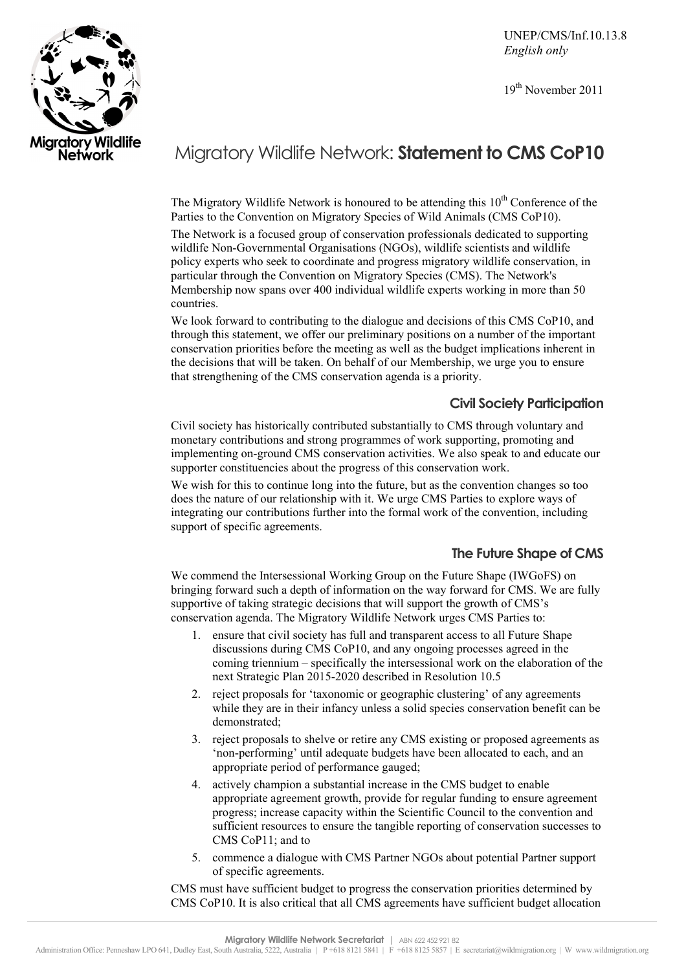UNEP/CMS/Inf.10.13.8 *English only* 

19th November 2011



# Migratory Wildlife Network: **Statement to CMS CoP10**

The Migratory Wildlife Network is honoured to be attending this  $10<sup>th</sup>$  Conference of the Parties to the Convention on Migratory Species of Wild Animals (CMS CoP10).

The Network is a focused group of conservation professionals dedicated to supporting wildlife Non-Governmental Organisations (NGOs), wildlife scientists and wildlife policy experts who seek to coordinate and progress migratory wildlife conservation, in particular through the Convention on Migratory Species (CMS). The Network's Membership now spans over 400 individual wildlife experts working in more than 50 countries.

We look forward to contributing to the dialogue and decisions of this CMS CoP10, and through this statement, we offer our preliminary positions on a number of the important conservation priorities before the meeting as well as the budget implications inherent in the decisions that will be taken. On behalf of our Membership, we urge you to ensure that strengthening of the CMS conservation agenda is a priority.

## **Civil Society Participation**

Civil society has historically contributed substantially to CMS through voluntary and monetary contributions and strong programmes of work supporting, promoting and implementing on-ground CMS conservation activities. We also speak to and educate our supporter constituencies about the progress of this conservation work.

We wish for this to continue long into the future, but as the convention changes so too does the nature of our relationship with it. We urge CMS Parties to explore ways of integrating our contributions further into the formal work of the convention, including support of specific agreements.

## **The Future Shape of CMS**

We commend the Intersessional Working Group on the Future Shape (IWGoFS) on bringing forward such a depth of information on the way forward for CMS. We are fully supportive of taking strategic decisions that will support the growth of CMS's conservation agenda. The Migratory Wildlife Network urges CMS Parties to:

- 1. ensure that civil society has full and transparent access to all Future Shape discussions during CMS CoP10, and any ongoing processes agreed in the coming triennium – specifically the intersessional work on the elaboration of the next Strategic Plan 2015-2020 described in Resolution 10.5
- 2. reject proposals for 'taxonomic or geographic clustering' of any agreements while they are in their infancy unless a solid species conservation benefit can be demonstrated;
- 3. reject proposals to shelve or retire any CMS existing or proposed agreements as 'non-performing' until adequate budgets have been allocated to each, and an appropriate period of performance gauged;
- 4. actively champion a substantial increase in the CMS budget to enable appropriate agreement growth, provide for regular funding to ensure agreement progress; increase capacity within the Scientific Council to the convention and sufficient resources to ensure the tangible reporting of conservation successes to CMS CoP11: and to
- 5. commence a dialogue with CMS Partner NGOs about potential Partner support of specific agreements.

CMS must have sufficient budget to progress the conservation priorities determined by CMS CoP10. It is also critical that all CMS agreements have sufficient budget allocation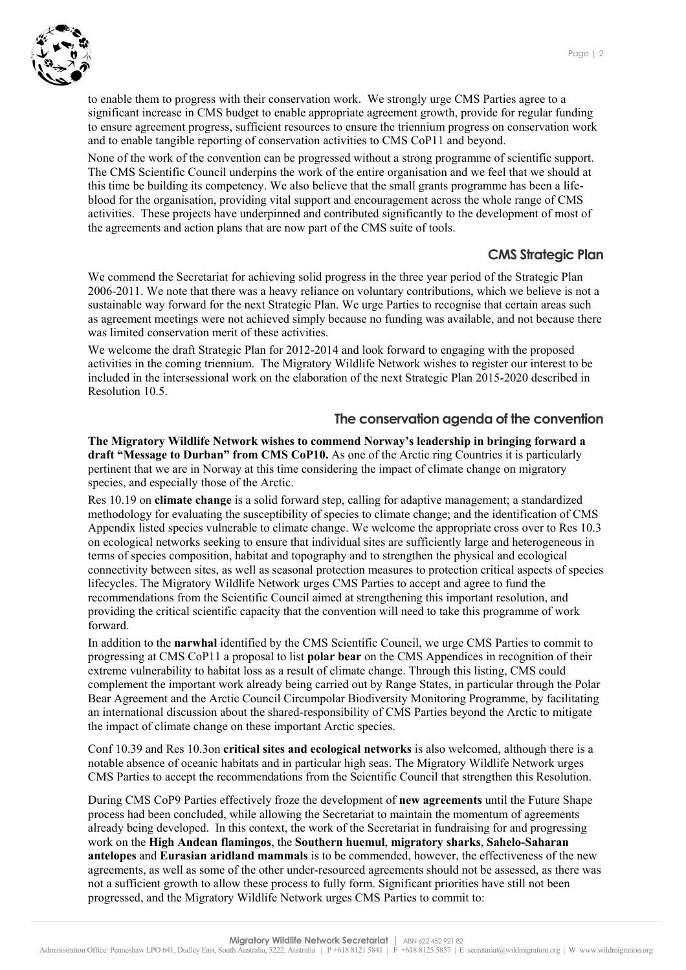

to enable them to progress with their conservation work. We strongly urge CMS Parties agree to a significant increase in CMS budget to enable appropriate agreement growth, provide for regular funding to ensure agreement progress, sufficient resources to ensure the triennium progress on conservation work and to enable tangible reporting of conservation activities to CMS CoP11 and beyond.

None of the work of the convention can be progressed without a strong programme of scientific support. The CMS Scientific Council underpins the work of the entire organisation and we feel that we should at this time be building its competency. We also believe that the small grants programme has been a lifeblood for the organisation, providing vital support and encouragement across the whole range of CMS activities. These projects have underpinned and contributed significantly to the development of most of the agreements and action plans that are now part of the CMS suite of tools.

### **CMS Strategic Plan**

We commend the Secretariat for achieving solid progress in the three year period of the Strategic Plan 2006-2011. We note that there was a heavy reliance on voluntary contributions, which we believe is not a sustainable way forward for the next Strategic Plan. We urge Parties to recognise that certain areas such as agreement meetings were not achieved simply because no funding was available, and not because there was limited conservation merit of these activities.

We welcome the draft Strategic Plan for 2012-2014 and look forward to engaging with the proposed activities in the coming triennium. The Migratory Wildlife Network wishes to register our interest to be included in the intersessional work on the elaboration of the next Strategic Plan 2015-2020 described in Resolution 10.5.

#### **The conservation agenda of the convention**

**The Migratory Wildlife Network wishes to commend Norway's leadership in bringing forward a draft "Message to Durban" from CMS CoP10.** As one of the Arctic ring Countries it is particularly pertinent that we are in Norway at this time considering the impact of climate change on migratory species, and especially those of the Arctic.

Res 10.19 on **climate change** is a solid forward step, calling for adaptive management; a standardized methodology for evaluating the susceptibility of species to climate change; and the identification of CMS Appendix listed species vulnerable to climate change. We welcome the appropriate cross over to Res 10.3 on ecological networks seeking to ensure that individual sites are sufficiently large and heterogeneous in terms of species composition, habitat and topography and to strengthen the physical and ecological connectivity between sites, as well as seasonal protection measures to protection critical aspects of species lifecycles. The Migratory Wildlife Network urges CMS Parties to accept and agree to fund the recommendations from the Scientific Council aimed at strengthening this important resolution, and providing the critical scientific capacity that the convention will need to take this programme of work forward.

In addition to the **narwhal** identified by the CMS Scientific Council, we urge CMS Parties to commit to progressing at CMS CoP11 a proposal to list **polar bear** on the CMS Appendices in recognition of their extreme vulnerability to habitat loss as a result of climate change. Through this listing, CMS could complement the important work already being carried out by Range States, in particular through the Polar Bear Agreement and the Arctic Council Circumpolar Biodiversity Monitoring Programme, by facilitating an international discussion about the shared-responsibility of CMS Parties beyond the Arctic to mitigate the impact of climate change on these important Arctic species.

Conf 10.39 and Res 10.3on **critical sites and ecological networks** is also welcomed, although there is a notable absence of oceanic habitats and in particular high seas. The Migratory Wildlife Network urges CMS Parties to accept the recommendations from the Scientific Council that strengthen this Resolution.

During CMS CoP9 Parties effectively froze the development of **new agreements** until the Future Shape process had been concluded, while allowing the Secretariat to maintain the momentum of agreements already being developed. In this context, the work of the Secretariat in fundraising for and progressing work on the **High Andean flamingos**, the **Southern huemul**, **migratory sharks**, **Sahelo-Saharan antelopes** and **Eurasian aridland mammals** is to be commended, however, the effectiveness of the new agreements, as well as some of the other under-resourced agreements should not be assessed, as there was not a sufficient growth to allow these process to fully form. Significant priorities have still not been progressed, and the Migratory Wildlife Network urges CMS Parties to commit to: